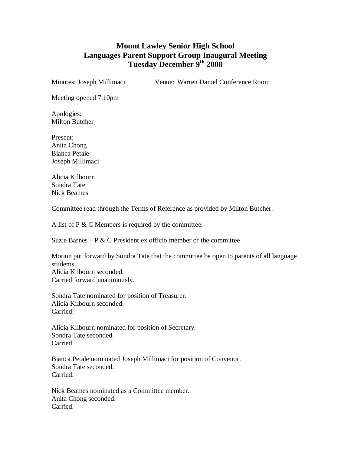## **Mount Lawley Senior High School Languages Parent Support Group Inaugural Meeting Tuesday December 9th 2008**

Minutes: Joseph Millimaci Venue: Warren Daniel Conference Room

Meeting opened 7.10pm

Apologies: Milton Butcher

Present: Anita Chong Bianca Petale Joseph Millimaci

Alicia Kilbourn Sondra Tate Nick Beames

Committee read through the Terms of Reference as provided by Milton Butcher.

A list of P & C Members is required by the committee.

Suzie Barnes – P  $&$  C President ex officio member of the committee

Motion put forward by Sondra Tate that the committee be open to parents of all language students. Alicia Kilbourn seconded. Carried forward unanimously.

Sondra Tate nominated for position of Treasurer. Alicia Kilbourn seconded. Carried.

Alicia Kilbourn nominated for position of Secretary. Sondra Tate seconded. Carried.

Bianca Petale nominated Joseph Millimaci for position of Convenor. Sondra Tate seconded. Carried.

Nick Beames nominated as a Committee member. Anita Chong seconded. Carried.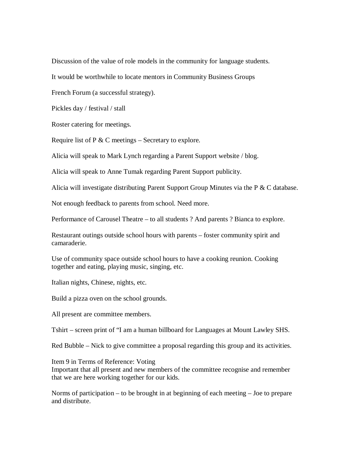Discussion of the value of role models in the community for language students.

It would be worthwhile to locate mentors in Community Business Groups

French Forum (a successful strategy).

Pickles day / festival / stall

Roster catering for meetings.

Require list of P  $&$  C meetings – Secretary to explore.

Alicia will speak to Mark Lynch regarding a Parent Support website / blog.

Alicia will speak to Anne Tumak regarding Parent Support publicity.

Alicia will investigate distributing Parent Support Group Minutes via the P  $\&$  C database.

Not enough feedback to parents from school. Need more.

Performance of Carousel Theatre – to all students ? And parents ? Bianca to explore.

Restaurant outings outside school hours with parents – foster community spirit and camaraderie.

Use of community space outside school hours to have a cooking reunion. Cooking together and eating, playing music, singing, etc.

Italian nights, Chinese, nights, etc.

Build a pizza oven on the school grounds.

All present are committee members.

Tshirt – screen print of "I am a human billboard for Languages at Mount Lawley SHS.

Red Bubble – Nick to give committee a proposal regarding this group and its activities.

Item 9 in Terms of Reference: Voting

Important that all present and new members of the committee recognise and remember that we are here working together for our kids.

Norms of participation – to be brought in at beginning of each meeting – Joe to prepare and distribute.